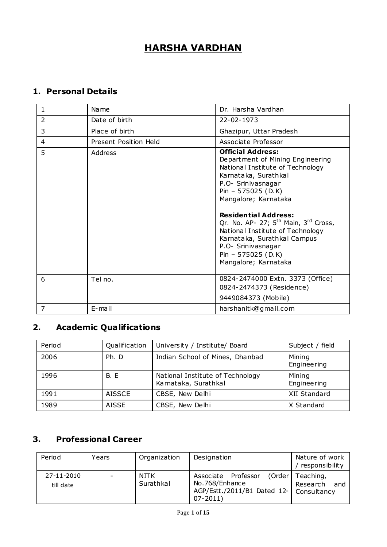# **HARSHA VARDHAN**

## **1. Personal Details**

| $\mathbf{1}$   | Na me                 | Dr. Harsha Vardhan                                                                                                                                                                                                                                                                                                                                                                                             |
|----------------|-----------------------|----------------------------------------------------------------------------------------------------------------------------------------------------------------------------------------------------------------------------------------------------------------------------------------------------------------------------------------------------------------------------------------------------------------|
| $\overline{2}$ | Date of birth         | 22-02-1973                                                                                                                                                                                                                                                                                                                                                                                                     |
| 3              | Place of birth        | Ghazipur, Uttar Pradesh                                                                                                                                                                                                                                                                                                                                                                                        |
| 4              | Present Position Held | Associate Professor                                                                                                                                                                                                                                                                                                                                                                                            |
| 5              | Address               | <b>Official Address:</b><br>Department of Mining Engineering<br>National Institute of Technology<br>Karnataka, Surathkal<br>P.O- Srinivasnagar<br>Pin - 575025 (D.K)<br>Mangalore; Karnataka<br><b>Residential Address:</b><br>Qr. No. AP- 27; $5th$ Main, $3rd$ Cross,<br>National Institute of Technology<br>Karnataka, Surathkal Campus<br>P.O- Srinivasnagar<br>Pin - 575025 (D.K)<br>Mangalore; Karnataka |
| 6              | Tel no.               | 0824-2474000 Extn. 3373 (Office)<br>0824-2474373 (Residence)                                                                                                                                                                                                                                                                                                                                                   |
|                |                       | 9449084373 (Mobile)                                                                                                                                                                                                                                                                                                                                                                                            |
| 7              | E-mail                | harshanitk@gmail.com                                                                                                                                                                                                                                                                                                                                                                                           |

# **2. Academic Qualifications**

| Period | Qualification | University / Institute/ Board                            | Subject / field       |
|--------|---------------|----------------------------------------------------------|-----------------------|
| 2006   | Ph. D         | Indian School of Mines, Dhanbad                          | Mining<br>Engineering |
| 1996   | <b>B.</b> E   | National Institute of Technology<br>Karnataka, Surathkal | Mining<br>Engineering |
| 1991   | <b>AISSCE</b> | CBSE, New Delhi                                          | XII Standard          |
| 1989   | AISSE         | CBSE, New Delhi                                          | X Standard            |

## **3. Professional Career**

| Period                  | Years                    | Organization             | Designation                                                                                       | Nature of work<br>responsibility      |
|-------------------------|--------------------------|--------------------------|---------------------------------------------------------------------------------------------------|---------------------------------------|
| 27-11-2010<br>till date | $\overline{\phantom{0}}$ | <b>NITK</b><br>Surathkal | Associate Professor<br>No.768/Enhance<br>AGP/Estt./2011/B1 Dated 12-   Consultancy<br>$07 - 2011$ | (Order   Teaching,<br>Research<br>and |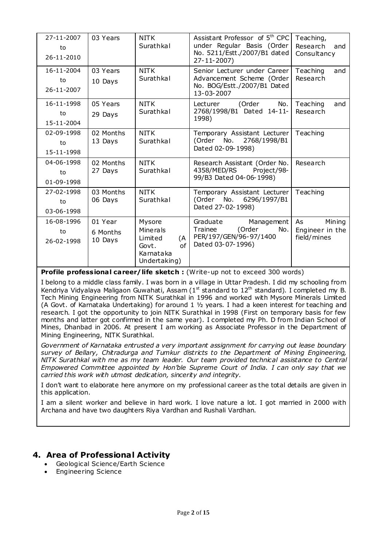| 27-11-2007<br>to<br>$26 - 11 - 2010$ | 03 Years                       | <b>NITK</b><br>Surathkal                                                         | Assistant Professor of 5 <sup>th</sup> CPC<br>under Regular Basis (Order<br>No. 5211/Estt./2007/B1 dated<br>27-11-2007) | Teaching,<br>Research<br>and<br>Consultancy    |
|--------------------------------------|--------------------------------|----------------------------------------------------------------------------------|-------------------------------------------------------------------------------------------------------------------------|------------------------------------------------|
| 16-11-2004<br>to<br>26-11-2007       | 03 Years<br>10 Days            | <b>NITK</b><br>Surathkal                                                         | Senior Lecturer under Career<br>Advancement Scheme (Order<br>No. BOG/Estt./2007/B1 Dated<br>13-03-2007                  | Teaching<br>and<br>Research                    |
| 16-11-1998<br>to<br>15-11-2004       | 05 Years<br>29 Days            | NITK<br>Surathkal                                                                | (Order<br>No.<br>Lecturer<br>2768/1998/B1 Dated 14-11-<br>1998)                                                         | Teaching<br>and<br>Research                    |
| 02-09-1998<br>to<br>15-11-1998       | 02 Months<br>13 Days           | <b>NITK</b><br>Surathkal                                                         | Temporary Assistant Lecturer<br>(Order No. 2768/1998/B1<br>Dated 02-09-1998)                                            | Teaching                                       |
| 04-06-1998<br>to<br>01-09-1998       | 02 Months<br>27 Days           | <b>NITK</b><br>Surathkal                                                         | Research Assistant (Order No.<br>4358/MED/RS Project/98-<br>99/B3 Dated 04-06-1998)                                     | Research                                       |
| 27-02-1998<br>to<br>03-06-1998       | 03 Months<br>06 Days           | <b>NITK</b><br>Surathkal                                                         | Temporary Assistant Lecturer<br>(Order No. 6296/1997/B1<br>Dated 27-02-1998)                                            | Teaching                                       |
| 16-08-1996<br>to<br>26-02-1998       | 01 Year<br>6 Months<br>10 Days | Mysore<br>Minerals<br>Limited<br>(A<br>of<br>Govt.<br>Karnata ka<br>Undertaking) | Graduate<br>Management<br>(Order<br>Trainee<br>No.<br>PER/197/GEN/96-97/1400<br>Dated 03-07-1996)                       | Mining<br>As<br>Engineer in the<br>field/mines |

**Profile professional career/life sketch :** (Write-up not to exceed 300 words)

I belong to a middle class family. I was born in a village in Uttar Pradesh. I did my schooling from Kendriya Vidyalaya Maligaon Guwahati, Assam ( $1<sup>st</sup>$  standard to  $12<sup>th</sup>$  standard). I completed my B. Tech Mining Engineering from NITK Surathkal in 1996 and worked with Mysore Minerals Limited (A Govt. of Karnataka Undertaking) for around 1 ½ years. I had a keen interest for teaching and research. I got the opportunity to join NITK Surathkal in 1998 (First on temporary basis for few months and latter got confirmed in the same year). I completed my Ph. D from Indian School of Mines, Dhanbad in 2006. At present I am working as Associate Professor in the Department of Mining Engineering, NITK Surathkal.

*Government of Karnataka entrusted a very important assignment for carrying out lease boundary survey of Bellary, Chitradurga and Tumkur districts to the Department of Mining Engineering, NITK Surathkal with me as my team leader. Our team provided technical assistance to Central Empowered Committee appointed by Hon'ble Supreme Court of India. I can only say that we carried this work with utmost dedication, sincerity and integrity.*

I don't want to elaborate here anymore on my professional career as the total details are given in this application.

I am a silent worker and believe in hard work. I love nature a lot. I got married in 2000 with Archana and have two daughters Riya Vardhan and Rushali Vardhan.

### **4. Area of Professional Activity**

- Geological Science/Earth Science
- Engineering Science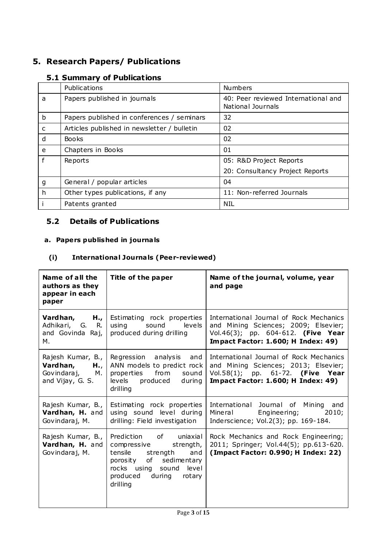## **5. Research Papers/ Publications**

## **5.1 Summary of Publications**

|              | Publications                                | <b>Numbers</b>                                           |
|--------------|---------------------------------------------|----------------------------------------------------------|
| a            | Papers published in journals                | 40: Peer reviewed International and<br>National Journals |
| b            | Papers published in conferences / seminars  | 32                                                       |
| $\mathsf{C}$ | Articles published in newsletter / bulletin | 02                                                       |
| d            | <b>Books</b>                                | 02                                                       |
| e            | Chapters in Books                           | 01                                                       |
|              | Reports                                     | 05: R&D Project Reports                                  |
|              |                                             | 20: Consultancy Project Reports                          |
| g            | General / popular articles                  | 04                                                       |
| h            | Other types publications, if any            | 11: Non-referred Journals                                |
|              | Patents granted                             | <b>NIL</b>                                               |

## **5.2 Details of Publications**

## **a. Papers published in journa ls**

## **(i) Internationa l Journa ls (Peer-reviewed)**

| Name of all the<br>authors as they<br>appear in each<br>paper              | Title of the paper                                                                                                                                                                    | Name of the journal, volume, year<br>and page                                                                                                                      |
|----------------------------------------------------------------------------|---------------------------------------------------------------------------------------------------------------------------------------------------------------------------------------|--------------------------------------------------------------------------------------------------------------------------------------------------------------------|
| Vardhan,<br>$H_{\bullet}$<br>Adhikari, G. R.<br>and Govinda Raj,<br>М.     | Estimating rock properties<br>levels<br>using<br>sound<br>produced during drilling                                                                                                    | International Journal of Rock Mechanics<br>and Mining Sciences; 2009; Elsevier;<br>Vol.46(3); pp. 604-612. (Five Year<br><b>Impact Factor: 1.600; H Index: 49)</b> |
| Rajesh Kumar, B.,<br>Vardhan,<br>H.,<br>Govindaraj, M.<br>and Vijay, G. S. | Regression analysis<br>and<br>ANN models to predict rock<br>from<br>properties<br>sound<br>levels produced<br>during<br>drilling                                                      | International Journal of Rock Mechanics<br>and Mining Sciences; 2013; Elsevier;<br>Vol.58(1); pp. 61-72. (Five Year<br><b>Impact Factor: 1.600; H Index: 49)</b>   |
| Rajesh Kumar, B.,<br>Vardhan, H. and<br>Govindaraj, M.                     | Estimating rock properties<br>using sound level during<br>drilling: Field investigation                                                                                               | International Journal of Mining<br>and<br>Mineral<br>Engineering;<br>2010;<br>Inderscience; Vol.2(3); pp. 169-184.                                                 |
| Rajesh Kumar, B.,<br>Vardhan, H. and<br>Govindaraj, M.                     | Prediction of uniaxial<br>compressive strength,<br>strength and<br>tensile<br>of<br>sedimentary<br>porosity<br>rocks using<br>sound<br>level<br>produced<br>during rotary<br>drilling | Rock Mechanics and Rock Engineering;<br>2011; Springer; Vol.44(5); pp.613-620.<br>(Impact Factor: 0.990; H Index: 22)                                              |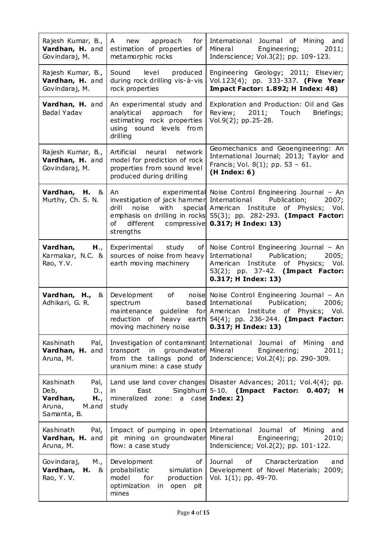| Rajesh Kumar, B.,<br>Vardhan, H. and<br>Govindaraj, M.                                | new approach<br>for<br>A<br>estimation of properties of<br>metamorphic rocks                                                               | International Journal of Mining<br>and<br>Mineral<br>Engineering;<br>2011;<br>Inderscience; Vol.3(2); pp. 109-123.                                                                                                             |
|---------------------------------------------------------------------------------------|--------------------------------------------------------------------------------------------------------------------------------------------|--------------------------------------------------------------------------------------------------------------------------------------------------------------------------------------------------------------------------------|
| Rajesh Kumar, B.,<br>Vardhan, H. and<br>Govindaraj, M.                                | Sound<br>level<br>produced<br>during rock drilling vis-à-vis<br>rock properties                                                            | Engineering Geology; 2011; Elsevier;<br>Vol.123(4); pp. 333-337. (Five Year<br><b>Impact Factor: 1.892; H Index: 48)</b>                                                                                                       |
| Vardhan, H. and<br>Badal Yadav                                                        | An experimental study and<br>analytical approach<br>for<br>estimating rock properties<br>using sound levels from<br>drilling               | Exploration and Production: Oil and Gas<br>Review;<br>2011; Touch<br>Briefings;<br>Vol.9(2); pp. 25-28.                                                                                                                        |
| Rajesh Kumar, B.,<br>Vardhan, H. and<br>Govindaraj, M.                                | Artificial neural network<br>model for prediction of rock<br>properties from sound level<br>produced during drilling                       | Geomechanics and Geoengineering: An<br>International Journal; 2013; Taylor and<br>Francis; Vol. 8(1); pp. 53 - 61.<br>(H Index: 6)                                                                                             |
| Vardhan, H. &<br>Murthy, Ch. S. N.                                                    | An<br>investigation of jack hammer International<br>noise<br>with<br>drill<br>different compressive 0.317; H Index: 13)<br>of<br>strengths | experimental Noise Control Engineering Journal - An<br>Publication;<br>2007;<br>special American Institute of Physics; Vol.<br>emphasis on drilling in rocks 55(3); pp. 282-293. (Impact Factor:                               |
| Vardhan,<br>H.,<br>Karmakar, N.C. &<br>Rao, Y.V.                                      | Experimental<br>study<br>of l<br>sources of noise from heavy<br>earth moving machinery                                                     | Noise Control Engineering Journal - An<br>International<br>Publication;<br>2005;<br>American Institute of Physics; Vol.<br>53(2); pp. 37-42. (Impact Factor:<br>0.317; H Index: 13)                                            |
| Vardhan, H.,<br>&<br>Adhikari, G. R.                                                  | Development<br>of<br>spectrum<br>maintenance<br>reduction<br>of<br>moving machinery noise                                                  | noise Noise Control Engineering Journal - An<br>based International<br>Publication;<br>2006;<br>guideline for American Institute of Physics; Vol.<br>heavy earth $54(4)$ ; pp. 236-244. (Impact Factor:<br>0.317; H Index: 13) |
| Kashinath<br>Pal,<br>Vardhan, H. and<br>Aruna, M.                                     | Investigation of contaminant International<br>groundwater Mineral<br>transport<br>in<br>uranium mine: a case study                         | Journal of<br>Mining<br>and<br>Engineering;<br>2011;<br>from the tailings pond of Inderscience; Vol.2(4); pp. 290-309.                                                                                                         |
| Kashinath<br>Pal,<br>Deb,<br>D.,<br>Vardhan,<br>H.,<br>Aruna,<br>M.and<br>Samanta, B. | East<br>in<br>mineralized zone: a case Index: 2)<br>study                                                                                  | Land use land cover changes Disaster Advances; 2011; Vol. 4(4); pp.<br>Singbhum 5-10. (Impact Factor:<br>$0.407;$ H                                                                                                            |
| Kashinath<br>Pal,<br>Vardhan, H. and<br>Aruna, M.                                     | Impact of pumping in open International Journal<br>pit mining on groundwater<br>flow: a case study                                         | Mining<br>of<br>and<br>Mineral<br>Engineering;<br>2010;<br>Inderscience; Vol.2(2); pp. 101-122.                                                                                                                                |
| Govindaraj,<br>M.,<br>Vardhan,<br>$H. \&$<br>Rao, Y. V.                               | of<br>Development<br>probabilistic<br>simulation<br>model<br>for<br>production<br>optimization<br>in open<br>pit<br>mines                  | Journal<br>Characterization<br>of<br>and<br>Development of Novel Materials; 2009;<br>Vol. 1(1); pp. 49-70.                                                                                                                     |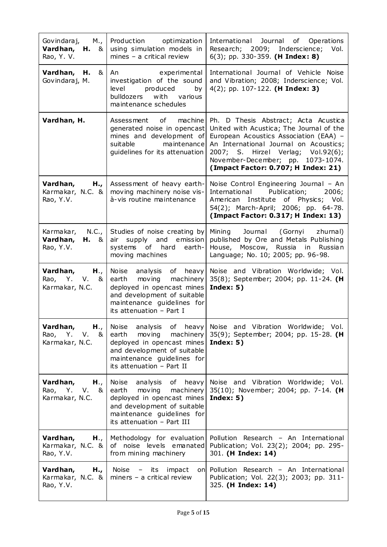| Govindaraj,<br>$M_{\cdot}$<br>Vardhan,<br><b>H.</b> &<br>Rao, Y. V. | Production optimization<br>using simulation models in<br>mines $-$ a critical review                                                                                            | International Journal of Operations<br>Research; 2009; Inderscience;<br>Vol.<br>$6(3)$ ; pp. 330-359. (H Index: 8)                                                                                                                                                                     |
|---------------------------------------------------------------------|---------------------------------------------------------------------------------------------------------------------------------------------------------------------------------|----------------------------------------------------------------------------------------------------------------------------------------------------------------------------------------------------------------------------------------------------------------------------------------|
| Vardhan, H.<br>&<br>Govindaraj, M.                                  | An<br>experimental<br>investigation of the sound<br>level<br>produced<br>by<br>bulldozers<br>with<br>various<br>maintenance schedules                                           | International Journal of Vehicle Noise<br>and Vibration; 2008; Inderscience; Vol.<br>$4(2)$ ; pp. 107-122. (H Index: 3)                                                                                                                                                                |
| Vardhan, H.                                                         | Assessment of machine<br>generated noise in opencast<br>mines and development of<br>suitable<br>maintenance<br>guidelines for its attenuation                                   | Ph. D Thesis Abstract; Acta Acustica<br>United with Acustica; The Journal of the<br>European Acoustics Association (EAA) -<br>An International Journal on Acoustics;<br>2007; S. Hirzel Verlag; Vol.92(6);<br>November-December; pp. 1073-1074.<br>(Impact Factor: 0.707; H Index: 21) |
| Vardhan,<br>$H_{\cdot}$<br>Karmakar, N.C. $\&$<br>Rao, Y.V.         | Assessment of heavy earth-<br>moving machinery noise vis-<br>à-vis routine maintenance                                                                                          | Noise Control Engineering Journal - An<br>International Publication;<br>2006;<br>American Institute of Physics; Vol.<br>54(2); March-April; 2006; pp. 64-78.<br>(Impact Factor: 0.317; H Index: 13)                                                                                    |
| N.C.,<br>Karmakar,<br>Vardhan,<br>$H. \&$<br>Rao, Y.V.              | Studies of noise creating by<br>air supply and emission<br>systems of hard<br>earth-<br>moving machines                                                                         | Mining Journal (Gornyi zhurnal)<br>published by Ore and Metals Publishing<br>House, Moscow, Russia in Russian<br>Language; No. 10; 2005; pp. 96-98.                                                                                                                                    |
| Vardhan, $H_{\cdot}$<br>Rao, Y. V. &<br>Karmakar, N.C.              | Noise analysis of heavy<br>moving<br>machinery<br>earth<br>deployed in opencast mines<br>and development of suitable<br>maintenance guidelines for<br>its attenuation - Part I  | Noise and Vibration Worldwide; Vol.<br>35(8); September; 2004; pp. 11-24. (H<br>Index: $5)$                                                                                                                                                                                            |
| Vardhan,<br>H.,<br>$V.$ &<br>Rao, Y.<br>Karmakar, N.C.              | Noise analysis of heavy<br>earth<br>moving<br>machinery<br>deployed in opencast mines<br>and development of suitable<br>maintenance guidelines for<br>its attenuation - Part II | Noise and Vibration Worldwide; Vol.<br>35(9); September; 2004; pp. 15-28. (H<br>Index: $5)$                                                                                                                                                                                            |
| Vardhan,<br>H.,<br>Rao, Y.<br>V. 8<br>Karmakar, N.C.                | Noise<br>analysis<br>earth moving<br>machinery<br>deployed in opencast mines<br>and development of suitable<br>maintenance guidelines for<br>its attenuation - Part III         | of heavy Noise and Vibration Worldwide; Vol.<br>35(10); November; 2004; pp. 7-14. (H<br>Index: $5)$                                                                                                                                                                                    |
| Vardhan,<br>H.,<br>Karmakar, N.C. &<br>Rao, Y.V.                    | Methodology for evaluation<br>of noise levels emanated<br>from mining machinery                                                                                                 | Pollution Research - An International<br>Publication; Vol. 23(2); 2004; pp. 295-<br>301. (H Index: 14)                                                                                                                                                                                 |
| Vardhan,<br>H.,<br>Karmakar, N.C. $\&$<br>Rao, Y.V.                 | Noise<br>impact<br>– its<br>miners $-$ a critical review                                                                                                                        | on Pollution Research - An International<br>Publication; Vol. 22(3); 2003; pp. 311-<br>325. (H Index: 14)                                                                                                                                                                              |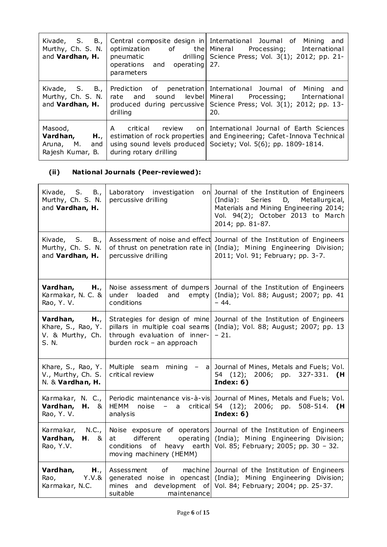| Kivade, S. B.,<br>Murthy, Ch. S. N.<br>and Vardhan, H.             | operating<br>operations and<br>parameters                                       | Central composite design in International Journal of Mining<br>and<br>optimization of the Mineral Processing; International<br>pneumatic drilling Science Press; Vol. 3(1); 2012; pp. 21-<br>27. |
|--------------------------------------------------------------------|---------------------------------------------------------------------------------|--------------------------------------------------------------------------------------------------------------------------------------------------------------------------------------------------|
| Kivade, S. B.,<br>Murthy, Ch. S. N.<br>and <b>Vardhan, H.</b>      | and<br>rate<br>drilling                                                         | Prediction of penetration International Journal of Mining<br>and<br>sound levbel Mineral Processing; International<br>produced during percussive Science Press; Vol. 3(1); 2012; pp. 13-<br>20.  |
| Masood,<br>Vardhan,<br>H.,<br>Aruna, M.<br>and<br>Rajesh Kumar, B. | A<br>critical review<br>estimation of rock properties<br>during rotary drilling | on International Journal of Earth Sciences<br>and Engineering; Cafet-Innova Technical<br>using sound levels produced Society; Vol. 5(6); pp. 1809-1814.                                          |

## **(ii) National Journals (Peer-reviewed):**

| Kivade, S. B.,<br>Murthy, Ch. S. N.<br>and Vardhan, H.             | Laboratory investigation<br>percussive drilling                                                                              | on Journal of the Institution of Engineers<br>Series<br>Metallurgical,<br>(India):<br>D,<br>Materials and Mining Engineering 2014;<br>Vol. 94(2); October 2013 to March<br>2014; pp. 81-87. |
|--------------------------------------------------------------------|------------------------------------------------------------------------------------------------------------------------------|---------------------------------------------------------------------------------------------------------------------------------------------------------------------------------------------|
| Kivade, S.<br>B.,<br>Murthy, Ch. S. N.<br>and Vardhan, H.          | percussive drilling                                                                                                          | Assessment of noise and effect Journal of the Institution of Engineers<br>of thrust on penetration rate in (India); Mining Engineering Division;<br>2011; Vol. 91; February; pp. 3-7.       |
| Vardhan,<br>H.,<br>Karmakar, N. C. &<br>Rao, Y.V.                  | under<br>loaded<br>empty<br>and<br>conditions                                                                                | Noise assessment of dumpers Journal of the Institution of Engineers<br>(India); Vol. 88; August; 2007; pp. 41<br>$-44.$                                                                     |
| Vardhan,<br>H.,<br>Khare, S., Rao, Y.<br>V. & Murthy, Ch.<br>S. N. | Strategies for design of mine<br>pillars in multiple coal seams<br>through evaluation of inner-<br>burden rock - an approach | Journal of the Institution of Engineers<br>(India); Vol. 88; August; 2007; pp. 13<br>$-21.$                                                                                                 |
| Khare, S., Rao, Y.<br>V., Murthy, Ch. S.<br>N. & Vardhan, H.       | Multiple seam<br>mining<br>$ \sim$<br>critical review                                                                        | a Journal of Mines, Metals and Fuels; Vol.<br>54<br>$(12)$ ;<br>2006; pp. 327-331.<br>(H<br>Index: $6)$                                                                                     |
| Karmakar, N. C.,<br>Vardhan,<br>$H. \&$<br>Rao, Y. V.              | <b>HEMM</b><br>noise<br>$\overline{\phantom{m}}$<br>a<br>analysis                                                            | Periodic maintenance vis-à-vis Journal of Mines, Metals and Fuels; Vol.<br>critical 54 (12); 2006; pp. 508-514. (H<br>Index: $6)$                                                           |
| N.C.,<br>Karmakar,<br>Vardhan,<br>H. 8<br>Rao, Y.V.                | at<br>different<br>operating<br>conditions<br>heavy earth<br>of<br>moving machinery (HEMM)                                   | Noise exposure of operators Journal of the Institution of Engineers<br>(India); Mining Engineering Division;<br>Vol. 85; February; 2005; pp. 30 - 32.                                       |
| Vardhan,<br>H.,<br>Y.V.8<br>Rao,<br>Karmakar, N.C.                 | Assessment<br>of<br>generated noise in opencast<br>mines and development of<br>suitable<br>maintenance                       | machine Journal of the Institution of Engineers<br>(India); Mining Engineering Division;<br>Vol. 84; February; 2004; pp. 25-37.                                                             |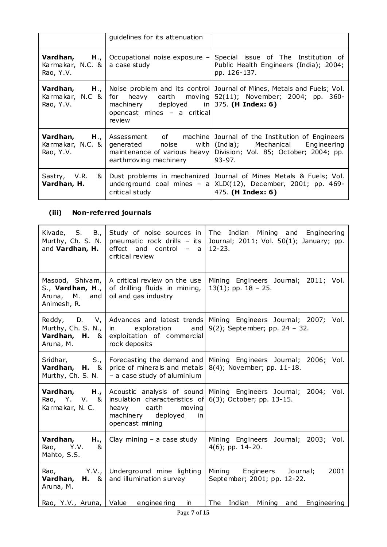|                                               | guidelines for its attenuation                                                      |                                                                                                                                                                                                                              |
|-----------------------------------------------|-------------------------------------------------------------------------------------|------------------------------------------------------------------------------------------------------------------------------------------------------------------------------------------------------------------------------|
| Karmakar, N.C. $\&$ a case study<br>Rao, Y.V. | <b>Vardhan, H.,   Occupational noise exposure -</b>                                 | Special issue of The Institution of<br>Public Health Engineers (India); 2004;<br>pp. 126-137.                                                                                                                                |
| Rao, Y.V. $\vert$                             | machinery deployed in $375$ . (H Index: 6)<br>opencast mines - a critical<br>review | <b>Vardhan, H., Noise problem and its control</b> Journal of Mines, Metals and Fuels; Vol.<br>Karmakar, N.C &   for heavy earth moving 52(11); November; 2004; pp. 360-                                                      |
| Karmakar, N.C. &<br>Rao, Y.V.                 | earthmoving machinery                                                               | <b>Vardhan, H., Assessment</b> of machine Journal of the Institution of Engineers<br>generated noise with (India); Mechanical Engineering<br>maintenance of various heavy Division; Vol. 85; October; 2004; pp.<br>$ 93-97.$ |
| Sastry, V.R.<br>& I<br>Vardhan, H.            | critical study                                                                      | Dust problems in mechanized Journal of Mines Metals & Fuels; Vol.<br>underground coal mines $-$ a XLIX(12), December, 2001; pp. 469-<br>475. (H Index: 6)                                                                    |

## **(iii) Non-referred journals**

| Kivade, S.<br>B.,<br>Murthy, Ch. S. N.<br>and Vardhan, H.                   | Study of noise sources in<br>pneumatic rock drills - its<br>effect<br>and control<br>$\overline{\phantom{m}}$<br>a a<br>critical review | The<br>Indian Mining and Engineering<br>Journal; 2011; Vol. 50(1); January; pp.<br>$12 - 23.$ |
|-----------------------------------------------------------------------------|-----------------------------------------------------------------------------------------------------------------------------------------|-----------------------------------------------------------------------------------------------|
| Masood, Shivam,<br>S., Vardhan, H.,<br>Aruna, M.<br>and<br>Animesh, R.      | A critical review on the use<br>of drilling fluids in mining,<br>oil and gas industry                                                   | Mining Engineers Journal; 2011; Vol.<br>$13(1)$ ; pp. $18 - 25$ .                             |
| Reddy, D.<br>$V_{\ell}$<br>Murthy, Ch. S. N.,<br>Vardhan, H. &<br>Aruna, M. | Advances and latest trends<br>exploration<br>and<br>in<br>exploitation of commercial<br>rock deposits                                   | Mining Engineers Journal; 2007; Vol.<br>9(2); September; pp. 24 - 32.                         |
| $S_{\cdot}$<br>Sridhar,<br>Vardhan, H. &<br>Murthy, Ch. S. N.               | Forecasting the demand and<br>price of minerals and metals<br>- a case study of aluminium                                               | Mining Engineers Journal; 2006; Vol.<br>8(4); November; pp. 11-18.                            |
| H.,<br>Vardhan,<br>Rao, Y. V. &<br>Karmakar, N. C.                          | Acoustic analysis of sound<br>insulation characteristics of<br>earth<br>moving<br>heavy<br>machinery deployed<br>in<br>opencast mining  | Mining Engineers Journal;<br>2004; Vol.<br>6(3); October; pp. 13-15.                          |
| Vardhan,<br>H.,<br>Rao, Y.V.<br>&<br>Mahto, S.S.                            | Clay mining $-$ a case study                                                                                                            | Mining Engineers Journal; 2003; Vol.<br>$4(6)$ ; pp. 14-20.                                   |
| Y.V.,<br>Rao,<br>Vardhan, H. &<br>Aruna, M.                                 | Underground mine lighting<br>and illumination survey                                                                                    | 2001<br>Mining Engineers Journal;<br>September; 2001; pp. 12-22.                              |
| Rao, Y.V., Aruna, Value                                                     | engineering<br>in.                                                                                                                      | <b>The</b><br>Indian<br>Engineering<br>Mining<br>and                                          |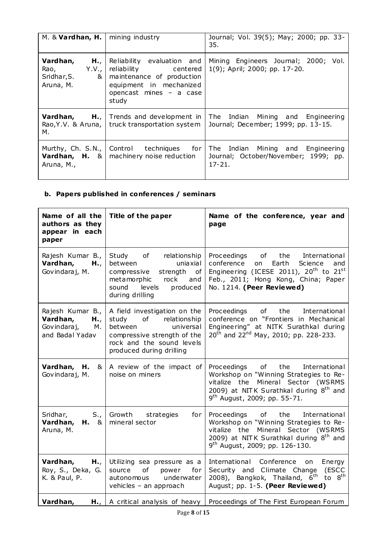| M. $&$ Vardhan, H.                                                | mining industry                                                                                                                                | Journal; Vol. 39(5); May; 2000; pp. 33-<br>35.                                           |
|-------------------------------------------------------------------|------------------------------------------------------------------------------------------------------------------------------------------------|------------------------------------------------------------------------------------------|
| Vardhan,<br>H.,<br>Y.V.,<br>Rao,<br>&<br>Sridhar, S.<br>Aruna, M. | Reliability evaluation and<br>reliability centered<br>maintenance of production<br>equipment in mechanized<br>opencast mines - a case<br>study | Mining Engineers Journal; 2000; Vol.<br>1(9); April; 2000; pp. 17-20.                    |
| м.                                                                | <b>Vardhan, H.,   Trends and development in  </b><br>Rao, Y.V. & Aruna,   truck transportation system                                          | The Indian Mining and Engineering<br>Journal; December; 1999; pp. 13-15.                 |
| Aruna, M.,                                                        | Murthy, Ch. S.N.,   Control techniques for<br><b>Vardhan, H.</b> & $\vert$ machinery noise reduction                                           | The Indian Mining and Engineering<br>Journal; October/November; 1999; pp.<br>$17 - 21$ . |

### **b. Papers published in conferences / seminars**

| Name of all the<br>authors as they<br>appear in each<br>paper               | Title of the paper                                                                                                                                                       | Name of the conference, year and<br>page                                                                                                                                                                                                                                                                                             |
|-----------------------------------------------------------------------------|--------------------------------------------------------------------------------------------------------------------------------------------------------------------------|--------------------------------------------------------------------------------------------------------------------------------------------------------------------------------------------------------------------------------------------------------------------------------------------------------------------------------------|
| Rajesh Kumar B.,<br>Vardhan,<br>H.,<br>Govindaraj, M.                       | Study of relationship<br>between<br>uniaxial<br>strength of<br>compressive<br>metamorphic<br>rock<br>and<br>levels<br>sound<br>produced<br>during drilling               | Proceedings<br>of the contract of the contract of the contract of the contract of the contract of the contract of the contract<br>the<br>International<br>conference<br>Earth<br>Science<br>on<br>and<br>Engineering (ICESE 2011), 20 <sup>th</sup> to $21^{st}$<br>Feb., 2011; Hong Kong, China; Paper<br>No. 1214. (Peer Reviewed) |
| Rajesh Kumar B.,<br>Vardhan,<br>H.,<br>Govindaraj,<br>М.<br>and Badal Yadav | A field investigation on the<br>of relationship<br>study<br>between<br>universal<br>compressive strength of the<br>rock and the sound levels<br>produced during drilling | of<br>the<br>Proceedings<br>International<br>conference on "Frontiers in Mechanical<br>Engineering" at NITK Surathkal during<br>20 <sup>th</sup> and 22 <sup>nd</sup> May, 2010; pp. 228-233.                                                                                                                                        |
| Vardhan, H.<br>&<br>Govindaraj, M.                                          | A review of the impact of<br>noise on miners                                                                                                                             | the<br>Proceedings of<br>International<br>Workshop on "Winning Strategies to Re-<br>vitalize the Mineral Sector (WSRMS<br>2009) at NITK Surathkal during 8 <sup>th</sup> and<br>9 <sup>th</sup> August, 2009; pp. 55-71.                                                                                                             |
| $S_{\cdot}$<br>Sridhar,<br>Vardhan,<br>$H. \&$<br>Aruna, M.                 | Growth<br>strategies<br>for<br>mineral sector                                                                                                                            | Proceedings of<br>the<br>International<br>Workshop on "Winning Strategies to Re-<br>vitalize the Mineral Sector (WSRMS<br>2009) at NITK Surathkal during 8 <sup>th</sup> and<br>$9^{th}$ August, 2009; pp. 126-130.                                                                                                                  |
| Vardhan,<br>H.,<br>Roy, S., Deka, G.<br>K. & Paul, P.                       | Utilizing sea pressure as a<br>of power<br>for<br>source<br>underwater<br>autonomous<br>vehicles - an approach                                                           | International Conference on<br>Energy<br>Security and Climate Change (ESCC<br>2008), Bangkok, Thailand, 6 <sup>th</sup> to 8 <sup>th</sup><br>August; pp. 1-5. (Peer Reviewed)                                                                                                                                                       |
| Vardhan,<br>$H_{\bullet}$                                                   | A critical analysis of heavy                                                                                                                                             | Proceedings of The First European Forum                                                                                                                                                                                                                                                                                              |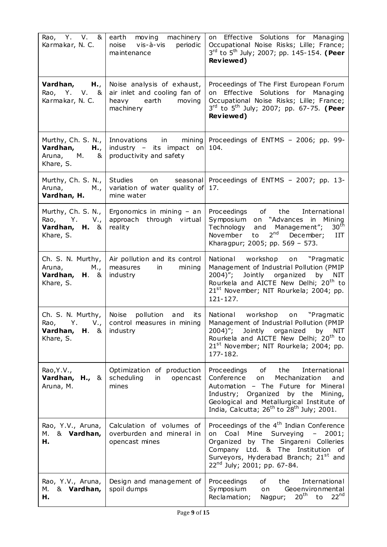| Rao, Y. V. &<br>Karmakar, N. C.                                           | moving machinery<br>earth<br>noise vis-à-vis<br>periodic<br>maintenance                          | on Effective Solutions for Managing<br>Occupational Noise Risks; Lille; France;<br>3rd to 5 <sup>th</sup> July; 2007; pp. 145-154. (Peer<br>Reviewed)                                                                                                                                     |
|---------------------------------------------------------------------------|--------------------------------------------------------------------------------------------------|-------------------------------------------------------------------------------------------------------------------------------------------------------------------------------------------------------------------------------------------------------------------------------------------|
| Vardhan, H.,<br>Rao, Y. V. &<br>Karmakar, N. C.                           | Noise analysis of exhaust,<br>air inlet and cooling fan of<br>heavy earth<br>moving<br>machinery | Proceedings of The First European Forum<br>on Effective Solutions for Managing<br>Occupational Noise Risks; Lille; France;<br>3rd to 5 <sup>th</sup> July; 2007; pp. 67-75. (Peer<br>Reviewed)                                                                                            |
| Murthy, Ch. S. N.,<br>Vardhan,<br>H.,<br>Aruna, M.<br>&<br>Khare, S.      | industry - its impact on<br>productivity and safety                                              | Innovations in mining Proceedings of ENTMS - 2006; pp. 99-<br>104.                                                                                                                                                                                                                        |
| Murthy, Ch. S. N.,<br>Aruna, M.,<br>Vardhan, H.                           | Studies<br>on<br>variation of water quality of<br>mine water                                     | seasonal Proceedings of ENTMS - 2007; pp. 13-<br>17.                                                                                                                                                                                                                                      |
| Murthy, Ch. S. N.,<br>Rao, Y. V.,<br>Vardhan, H. &<br>Khare, S.           | Ergonomics in mining $-$ an<br>approach through virtual<br>reality                               | Proceedings of the<br>International<br>Symposium<br>on "Advances in Mining<br>30 <sup>th</sup><br>Technology<br>Management";<br>and<br>$2^{nd}$<br>November<br>December;<br>to<br>III<br>Kharagpur; 2005; pp. 569 - 573.                                                                  |
| Ch. S. N. Murthy,<br>Aruna,<br>M.,<br>Vardhan, H. &<br>Khare, S.          | Air pollution and its control<br>measures<br>in<br>mining<br>industry                            | National workshop<br>"Pragmatic<br>on<br>Management of Industrial Pollution (PMIP<br>$2004)$ ";<br>Jointly organized<br>by NIT<br>Rourkela and AICTE New Delhi; 20 <sup>th</sup> to<br>21 <sup>st</sup> November; NIT Rourkela; 2004; pp.<br>$121 - 127.$                                 |
| Ch. S. N. Murthy, Noise<br><b>Vardhan, H. &amp; industry</b><br>Khare, S. | pollution and<br>its<br>Rao, Y. V., $ $ control measures in mining $ $                           | National workshop<br>"Pragmatic<br>on<br>Management of Industrial Pollution (PMIP<br>$2004)$ ";<br>Jointly organized<br>by<br>NIT<br>Rourkela and AICTE New Delhi; 20 <sup>th</sup> to<br>21 <sup>st</sup> November; NIT Rourkela; 2004; pp.<br>177-182.                                  |
| Rao, Y.V.,<br>Vardhan, H., &<br>Aruna, M.                                 | Optimization of production<br>scheduling<br>in<br>opencast<br>mines                              | Proceedings<br>of the<br>International<br>Conference<br>Mechanization<br>and<br>on<br>Automation - The Future for Mineral<br>by the<br>Industry; Organized<br>Mining,<br>Geological and Metallurgical Institute of<br>India, Calcutta; $26^{th}$ to $28^{th}$ July; 2001.                 |
| Rao, Y.V., Aruna,<br>& Vardhan,<br>М.<br>н.                               | Calculation of volumes of<br>overburden and mineral in<br>opencast mines                         | Proceedings of the 4 <sup>th</sup> Indian Conference<br>Coal Mine<br>Surveying<br>$ \,$<br>2001;<br>on<br>Organized<br>by The Singareni Colleries<br>Company<br>Ltd. & The Institution of<br>Surveyors, Hyderabad Branch; 21 <sup>st</sup> and<br>22 <sup>nd</sup> July; 2001; pp. 67-84. |
| Rao, Y.V., Aruna,<br>& Vardhan,<br>M.<br>н.                               | Design and management of<br>spoil dumps                                                          | the<br>International<br>Proceedings<br>of<br>Symposium<br>Geoenvironmental<br>on<br>22 <sup>nd</sup><br>20 <sup>th</sup><br>Reclamation;<br>to<br>Nagpur;                                                                                                                                 |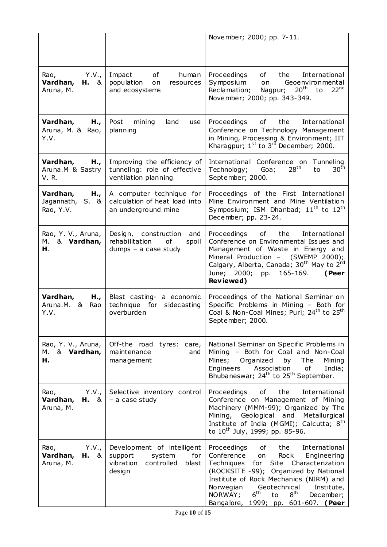|                                                         |                                                                                                      | November; 2000; pp. 7-11.                                                                                                                                                                                                                                                                                                                                                                                                                                                                                                                                                                                  |
|---------------------------------------------------------|------------------------------------------------------------------------------------------------------|------------------------------------------------------------------------------------------------------------------------------------------------------------------------------------------------------------------------------------------------------------------------------------------------------------------------------------------------------------------------------------------------------------------------------------------------------------------------------------------------------------------------------------------------------------------------------------------------------------|
|                                                         |                                                                                                      |                                                                                                                                                                                                                                                                                                                                                                                                                                                                                                                                                                                                            |
| Y.V.,<br>Rao,<br>Vardhan,<br>$H. \&$<br>Aruna, M.       | Impact<br>of<br>human<br>population<br>on<br>resources<br>and ecosystems                             | Proceedings<br>of<br>the<br>International<br>Symposium<br>Geoenvironmental<br>on<br>Reclamation;<br>$20th$ to<br>22 <sup>nd</sup><br>Nagpur;<br>November; 2000; pp. 343-349.                                                                                                                                                                                                                                                                                                                                                                                                                               |
| Vardhan,<br>H.,<br>Aruna, M. & Rao,<br>Y.V.             | Post<br>land<br>mining<br>use<br>planning                                                            | of the<br>Proceedings<br>International<br>Conference on Technology Management<br>in Mining, Processing & Environment; IIT<br>Kharagpur; $1st$ to $3rd$ December; 2000.                                                                                                                                                                                                                                                                                                                                                                                                                                     |
| Vardhan,<br>H.,<br>Aruna.M & Sastry<br>V.R.             | Improving the efficiency of<br>tunneling: role of effective<br>ventilation planning                  | International Conference on<br>Tunneling<br>28 <sup>th</sup><br>30 <sup>th</sup><br>Goa;<br>to<br>Technology;<br>September; 2000.                                                                                                                                                                                                                                                                                                                                                                                                                                                                          |
| Vardhan,<br>H.,<br>Jagannath, S. &<br>Rao, Y.V.         | A computer technique for<br>calculation of heat load into<br>an underground mine                     | Proceedings of the First International<br>Mine Environment and Mine Ventilation<br>Symposium; ISM Dhanbad; $11^{\text{th}}$ to $12^{\text{th}}$<br>December; pp. 23-24.                                                                                                                                                                                                                                                                                                                                                                                                                                    |
| Rao, Y. V., Aruna,<br>& Vardhan,<br>М.<br>Н.            | Design, construction<br>and<br>rehabilitation<br>оf<br>spoil<br>$dumps - a case study$               | Proceedings<br>of<br>the<br>International<br>Conference on Environmental Issues and<br>Management of Waste in Energy and<br>Mineral Production - (SWEMP 2000);<br>Calgary, Alberta, Canada; 30 <sup>th</sup> May to 2 <sup>nd</sup><br>June; 2000; pp. 165-169.<br>(Peer<br>Reviewed)                                                                                                                                                                                                                                                                                                                      |
| Vardhan,<br>H.,<br>Aruna.M. &<br>Rao<br>Y.V.            | Blast casting- a economic<br>technique for<br>sidecasting<br>overburden                              | Proceedings of the National Seminar on<br>Specific Problems in Mining - Both for<br>Coal & Non-Coal Mines; Puri; 24 <sup>th</sup> to 25 <sup>th</sup><br>September; 2000.                                                                                                                                                                                                                                                                                                                                                                                                                                  |
| Rao, Y. V., Aruna,<br>& Vardhan,<br>М.<br>н.            | Off-the road tyres:<br>care,<br>maintenance<br>and<br>management                                     | National Seminar on Specific Problems in<br>Mining - Both for Coal and Non-Coal<br>Mines; Organized<br>by<br><b>The</b><br>Mining<br>Engineers<br>Association<br>of<br>India;<br>Bhubaneswar; 24 <sup>th</sup> to 25 <sup>th</sup> September.                                                                                                                                                                                                                                                                                                                                                              |
| Rao,<br>Y.V., 1<br>Vardhan,<br><b>H.</b> &<br>Aruna, M. | Selective inventory control<br>- a case study                                                        | the<br>International<br>Proceedings<br>of<br>Conference on Management of Mining<br>Machinery (MMM-99); Organized by The<br>Mining, Geological and<br>Metallurgical<br>Institute of India (MGMI); Calcutta; 8 <sup>th</sup><br>to 10 <sup>th</sup> July, 1999; pp. 85-96.                                                                                                                                                                                                                                                                                                                                   |
| Y.V.,<br>Rao,<br>Vardhan,<br><b>H.</b> &<br>Aruna, M.   | Development of intelligent<br>support<br>system<br>for<br>vibration<br>controlled<br>blast<br>design | Proceedings<br>the<br>International<br>of the origin of the original random control. The control of the control of the control of the control of the c<br>Separate the control of the control of the control of the control of the control of the control of the control<br>Conference<br>Rock<br>Engineering<br>on<br>Techniques<br>Site Characterization<br>for<br>(ROCKSITE -99); Organized by National<br>Institute of Rock Mechanics (NIRM) and<br>Norwegian<br>Geotechnical<br>Institute,<br>$6^{\text{th}}$<br>8 <sup>th</sup><br>NORWAY;<br>to<br>December;<br>Bangalore, 1999; pp. 601-607. (Peer |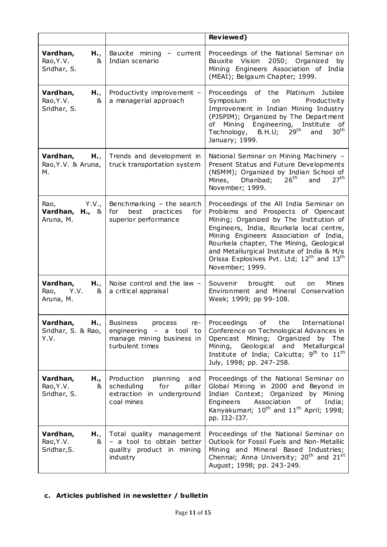|                                                  |                                                                                                                | Reviewed)                                                                                                                                                                                                                                                                                                                                                                                        |
|--------------------------------------------------|----------------------------------------------------------------------------------------------------------------|--------------------------------------------------------------------------------------------------------------------------------------------------------------------------------------------------------------------------------------------------------------------------------------------------------------------------------------------------------------------------------------------------|
| Vardhan,<br>H.,<br>Rao, Y.V.<br>&<br>Sridhar, S. | Bauxite mining - current<br>Indian scenario                                                                    | Proceedings of the National Seminar on<br>Bauxite Vision 2050; Organized<br>by<br>Mining Engineers Association of India<br>(MEAI); Belgaum Chapter; 1999.                                                                                                                                                                                                                                        |
| Vardhan,<br>H.,<br>Rao, Y.V.<br>&<br>Sridhar, S. | Productivity improvement -<br>a managerial approach                                                            | Proceedings of the Platinum<br>Jubilee<br>Productivity<br>Symposium<br>on<br>Improvement in Indian Mining Industry<br>(PJSPIM); Organized by The Department<br>Mining Engineering, Institute<br>of<br>of<br>Technology, B.H.U; 29 <sup>th</sup><br>30 <sup>th</sup><br>and<br>January; 1999.                                                                                                     |
| Vardhan,<br>H.,<br>Rao, Y.V. & Aruna,<br>М.      | Trends and development in<br>truck transportation system                                                       | National Seminar on Mining Machinery -<br>Present Status and Future Developments<br>(NSMM); Organized by Indian School of<br>27 <sup>th</sup><br>26 <sup>th</sup><br>Dhanbad;<br>Mines,<br>and<br>November; 1999.                                                                                                                                                                                |
| Rao,<br>Y.V.,<br>Vardhan, H., &<br>Aruna, M.     | Benchmarking $-$ the search<br>best<br>practices<br>for<br>for<br>superior performance                         | Proceedings of the All India Seminar on<br>Problems and Prospects of Opencast<br>Mining; Organized by The Institution of<br>Engineers, India, Rourkela local centre,<br>Mining Engineers Association of India,<br>Rourkela chapter, The Mining, Geological<br>and Metallurgical Institute of India & M/s<br>Orissa Explosives Pvt. Ltd; 12 <sup>th</sup> and 13 <sup>th</sup><br>November; 1999. |
| Vardhan,<br>H.,<br>Rao, Y.V.<br>&<br>Aruna, M.   | Noise control and the law $-$<br>a critical appraisal                                                          | Souvenir brought<br>Mines<br>out<br>on<br>Environment and Mineral Conservation<br>Week; 1999; pp 99-108.                                                                                                                                                                                                                                                                                         |
| H.,<br>Vardhan,<br>Sridhar, S. & Rao,<br>Y.V.    | <b>Business</b><br>process<br>re-<br>engineering $-$ a tool to<br>manage mining business in<br>turbulent times | Proceedings of the International<br>Conference on Technological Advances in<br>Mining; Organized by The<br>Opencast<br>Mining, Geological and<br>Metallurgical<br>Institute of India; Calcutta; 9 <sup>th</sup> to 11 <sup>th</sup><br>July, 1998; pp. 247-258.                                                                                                                                  |
| Vardhan,<br>H.,<br>Rao, Y.V.<br>&<br>Sridhar, S. | Production<br>planning<br>and<br>scheduling<br>for<br>pillar<br>extraction in underground<br>coal mines        | Proceedings of the National Seminar on<br>Global Mining in 2000 and Beyond in<br>Indian Context; Organized by Mining<br>Engineers<br>Association<br>India;<br>of<br>Kanyakumari; 10 <sup>th</sup> and 11 <sup>th</sup> April; 1998;<br>pp. I32-I37.                                                                                                                                              |
| H.,<br>Vardhan,<br>Rao, Y.V.<br>&<br>Sridhar, S. | Total quality management<br>- a tool to obtain better<br>quality product in mining<br>industry                 | Proceedings of the National Seminar on<br>Outlook for Fossil Fuels and Non-Metallic<br>Mining and Mineral Based Industries;<br>Chennai; Anna University; 20 <sup>th</sup> and 21 <sup>st</sup><br>August; 1998; pp. 243-249.                                                                                                                                                                     |

## **c. Articles published in newsletter / bulletin**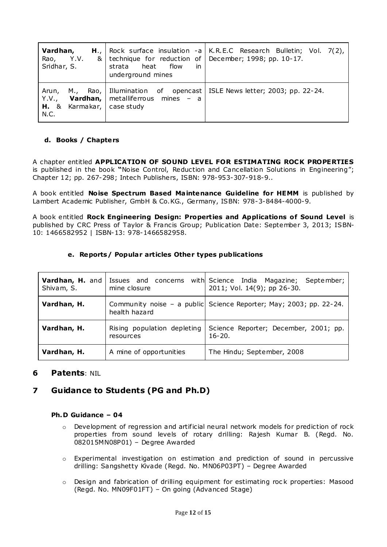| Vardhan,<br>Rao, Y.V.<br>Sridhar, S.                      | &   technique for reduction of   December; 1998; pp. 10-17.<br>in<br>strata<br>heat<br>flow<br>underground mines | <b>H.</b> ,   Rock surface insulation -a   K.R.E.C Research Bulletin; Vol. 7(2), |
|-----------------------------------------------------------|------------------------------------------------------------------------------------------------------------------|----------------------------------------------------------------------------------|
| Y.V.,<br><b>H.</b> & Karmakar, $\vert$ case study<br>N.C. | <b>Vardhan, </b> metalliferrous mines - a                                                                        | Arun, M., Rao, Illumination of opencast   ISLE News letter; 2003; pp. 22-24.     |

#### **d. Books / Chapters**

A chapter entitled **APPLICATION OF SOUND LEVEL FOR ESTIMATING ROCK PROPERTIES**  is published in the book **"**Noise Control, Reduction and Cancellation Solutions in Engineering"; Chapter 12; pp. 267-298; Intech Publishers, ISBN: 978-953-307-918-9..

A book entitled **Noise Spectrum Based Ma intenance Guideline for HEMM** is published by Lambert Academic Publisher, GmbH & Co.KG., Germany, ISBN: 978-3-8484-4000-9.

A book entitled **Rock Engineering Design: Properties and Applications of Sound Level** is published by CRC Press of Taylor & Francis Group; Publication Date: September 3, 2013; ISBN-10: 1466582952 | ISBN-13: 978-1466582958.

#### **e. Reports/ Popular articles Other types publications**

| Vardhan, H. and<br>Shivam, S. | Issues and concerns<br>mine closure      | with Science India Magazine;<br>September;<br>2011; Vol. 14(9); pp 26-30. |
|-------------------------------|------------------------------------------|---------------------------------------------------------------------------|
| Vardhan, H.                   | health hazard                            | Community noise - a public Science Reporter; May; 2003; pp. 22-24.        |
| Vardhan, H.                   | Rising population depleting<br>resources | Science Reporter; December, 2001; pp.<br>$16 - 20.$                       |
| Vardhan, H.                   | A mine of opportunities                  | The Hindu; September, 2008                                                |

#### **6 Patents**: NIL

### **7 Guidance to Students (PG and Ph.D)**

#### **Ph.D Guidance – 04**

- $\circ$  Development of regression and artificial neural network models for prediction of rock properties from sound levels of rotary drilling: Rajesh Kumar B. (Regd. No. 082015MN08P01) – Degree Awarded
- $\circ$  Experimental investigation on estimation and prediction of sound in percussive drilling: Sangshetty Kivade (Regd. No. MN06P03PT) – Degree Awarded
- o Design and fabrication of drilling equipment for estimating roc k properties: Masood (Regd. No. MN09F01FT) – On going (Advanced Stage)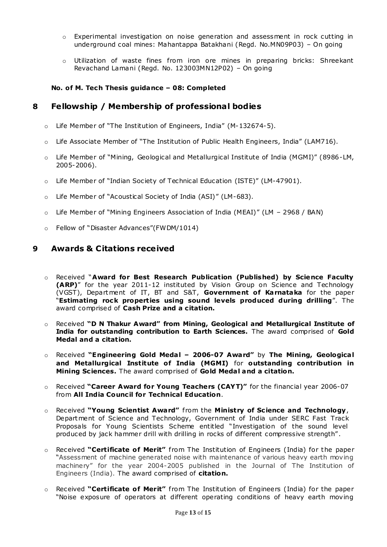- $\circ$  Experimental investigation on noise generation and assessment in rock cutting in underground coal mines: Mahantappa Batakhani (Regd. No.MN09P03) – On going
- o Utilization of waste fines from iron ore mines in preparing bricks: Shreekant Revachand Lamani (Regd. No. 123003MN12P02) – On going

#### **No. of M. Tech Thesis guidance – 08: Completed**

#### **8 Fellowship / Membership of professional bodies**

- o Life Member of "The Institution of Engineers, India" (M-132674-5).
- o Life Associate Member of "The Institution of Public Health Engineers, India" (LAM716).
- o Life Member of "Mining, Geological and Metallurgical Institute of India (MGMI)" (8986-LM, 2005-2006).
- o Life Member of "Indian Society of Technical Education (ISTE)" (LM-47901).
- o Life Member of "Acoustical Society of India (ASI)" (LM-683).
- $\circ$  Life Member of "Mining Engineers Association of India (MEAI)" (LM 2968 / BAN)
- o Fellow of "Disaster Advances"(FWDM/1014)

#### **9 Awards & C itations received**

- o Received "**Award for Best Research Publication (Published) by Science Faculty (ARP)**" for the year 2011-12 instituted by Vision Group on Science and Technology (VGST), Department of IT, BT and S&T, **Government of Karnataka** for the paper "**Estimating rock properties using sound levels produced during drilling**". The award comprised of **Cash Prize and a c itation.**
- o Received **"D N Thakur Award" from Mining, Geological and Metallurgical Institute of India for outstanding contribution to Earth Sciences.** The award comprised of **Gold Medal and a citation.**
- o Received **"Engineering Gold Meda l – 2006-07 Award"** by **The Mining, Geologica l and Metallurgical Institute of India (MGMI)** for **outstanding contribution in Mining Sc iences.** The award comprised of **Gold Meda l and a citation.**
- o Received **"Career Award for Young Teachers (CAYT)"** for the financial year 2006-07 from **All India Council for Technical Education**.
- **o** Received **"Young Scientist Award"** from the **Ministry of Science and Technology**, Department of Science and Technology, Government of India under SERC Fast Track Proposals for Young Scientists Scheme entitled "Investigation of the sound level produced by jack hammer drill with drilling in rocks of different compressive strength" .
- Received "Certificate of Merit" from The Institution of Engineers (India) for the paper "Assessment of machine generated noise with maintenance of various heavy earth moving machinery" for the year 2004-2005 published in the Journal of The Institution of Engineers (India). The award comprised of **citation.**
- o Received "Certificate of Merit" from The Institution of Engineers (India) for the paper "Noise exposure of operators at different operating conditions of heavy earth moving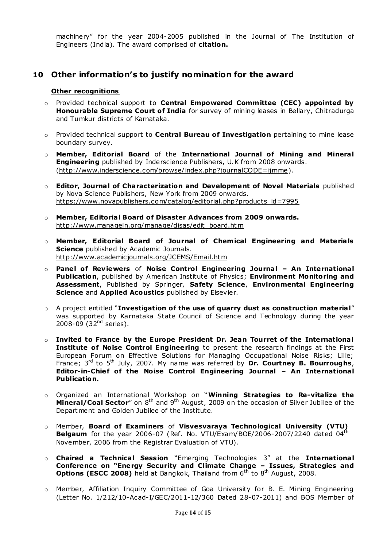machinery" for the year 2004-2005 published in the Journal of The Institution of Engineers (India). The award comprised of **citation.**

### **10 Other information's to justify nomination for the award**

#### **Other recognitions**

- o Provided technical support to **Central Empowered Comm ittee (CEC) appointed by Honourable Supreme Court of India** for survey of mining leases in Bellary, Chitradurga and Tumkur districts of Karnataka.
- o Provided technical support to **Central Bureau of Investigation** pertaining to mine lease boundary survey.
- o **Member, Editorial Board** of the **International Journal of Mining and Minera l Engineering** published by Inderscience Publishers, U.K from 2008 onwards. [\(http://www.inderscience.com/browse/index.php?journalCODE=ijmme\)](http://www.inderscience.com/browse/index.php?journalCODE=ijmme).
- o **Editor, Journa l of Characterization and Development of Novel Materials** published by Nova Science Publishers, New York from 2009 onwards. [https://www.novapublishers.com/catalog/editorial.php?products\\_id=7995](https://www.novapublishers.com/catalog/editorial.php?products_id=7995)
- o **Member, Editoria l Board of Disaster Advances from 2009 onwards.** [http://www.managein.org/manage/disas/edit\\_board.htm](http://www.managein.org/manage/disas/edit_board.htm)
- o **Member, Editorial Board of Journal of Chem ical Engineering and Materia ls Science** published by Academic Journals. [http://www.academic journals.org/JCEMS/Email.htm](http://www.academicjournals.org/JCEMS/Email.htm)
- $\circ$  **Panel of Reviewers** of **Noise Control Engineering Journal An International Publication**, published by American Institute of Physics; **Environment Monitoring and Assessment**, Published by Springer, **Safety Sc ience**, **Environmental Engineering Science** and **Applied Acoustics** published by Elsevier.
- o A project entitled "**Investigation of the use of quarry dust as construction materia l**" was supported by Karnataka State Council of Science and Technology during the year 2008-09 (32 $^{nd}$  series).
- o **Invited to France by the Europe President Dr. Jean Tourret of the Internationa l Institute of Noise Control Engineering** to present the research findings at the First European Forum on Effective Solutions for Managing Occupational Noise Risks; Lille; France; 3<sup>rd</sup> to 5<sup>th</sup> July, 2007. My name was referred by Dr. Courtney B. Bourroughs, **Editor-in-Chief of the Noise Control Engineering Journal – An Internationa l Publication.**
- o Organized an International Workshop on "**Winning Strategies to Re-vita lize the Mineral/Coal Sector**" on 8<sup>th</sup> and 9<sup>th</sup> August, 2009 on the occasion of Silver Jubilee of the Department and Golden Jubilee of the Institute.
- o Member, **Board of Examiners** of **Visvesvaraya Technological University (VTU)**  Belgaum for the year 2006-07 (Ref. No. VTU/Exam/BOE/2006-2007/2240 dated 04<sup>th</sup> November, 2006 from the Registrar Evaluation of VTU).
- o **Chaired a Technical Session** "Emerging Technologies 3" at the International **Conference on "Energy Security and Climate Change – Issues, Strategies and Options (ESCC 2008)** held at Bangkok, Thailand from 6<sup>th</sup> to 8<sup>th</sup> August, 2008.
- o Member, Affiliation Inquiry Committee of Goa University for B. E. Mining Engineering (Letter No. 1/212/10-Acad-I/GEC/2011-12/360 Dated 28-07-2011) and BOS Member of